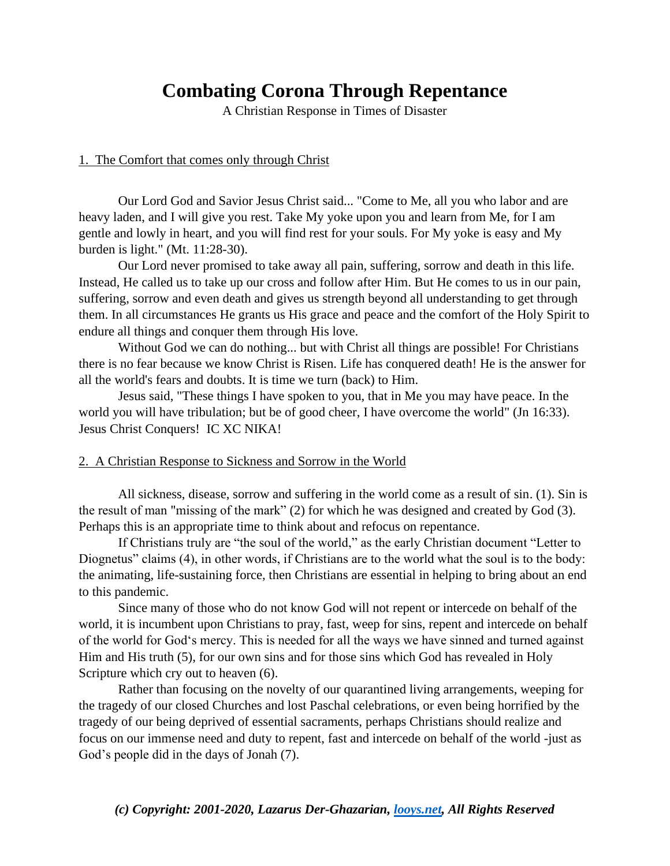# **Combating Corona Through Repentance**

A Christian Response in Times of Disaster

### 1. The Comfort that comes only through Christ

Our Lord God and Savior Jesus Christ said... "Come to Me, all you who labor and are heavy laden, and I will give you rest. Take My yoke upon you and learn from Me, for I am gentle and lowly in heart, and you will find rest for your souls. For My yoke is easy and My burden is light." (Mt. 11:28-30).

Our Lord never promised to take away all pain, suffering, sorrow and death in this life. Instead, He called us to take up our cross and follow after Him. But He comes to us in our pain, suffering, sorrow and even death and gives us strength beyond all understanding to get through them. In all circumstances He grants us His grace and peace and the comfort of the Holy Spirit to endure all things and conquer them through His love.

Without God we can do nothing... but with Christ all things are possible! For Christians there is no fear because we know Christ is Risen. Life has conquered death! He is the answer for all the world's fears and doubts. It is time we turn (back) to Him.

Jesus said, "These things I have spoken to you, that in Me you may have peace. In the world you will have tribulation; but be of good cheer, I have overcome the world" (Jn 16:33). Jesus Christ Conquers! IC XC NIKA!

### 2. A Christian Response to Sickness and Sorrow in the World

All sickness, disease, sorrow and suffering in the world come as a result of sin. (1). Sin is the result of man "missing of the mark" (2) for which he was designed and created by God (3). Perhaps this is an appropriate time to think about and refocus on repentance.

If Christians truly are "the soul of the world," as the early Christian document "Letter to Diognetus" claims (4), in other words, if Christians are to the world what the soul is to the body: the animating, life-sustaining force, then Christians are essential in helping to bring about an end to this pandemic.

Since many of those who do not know God will not repent or intercede on behalf of the world, it is incumbent upon Christians to pray, fast, weep for sins, repent and intercede on behalf of the world for God's mercy. This is needed for all the ways we have sinned and turned against Him and His truth (5), for our own sins and for those sins which God has revealed in Holy Scripture which cry out to heaven (6).

Rather than focusing on the novelty of our quarantined living arrangements, weeping for the tragedy of our closed Churches and lost Paschal celebrations, or even being horrified by the tragedy of our being deprived of essential sacraments, perhaps Christians should realize and focus on our immense need and duty to repent, fast and intercede on behalf of the world -just as God's people did in the days of Jonah (7).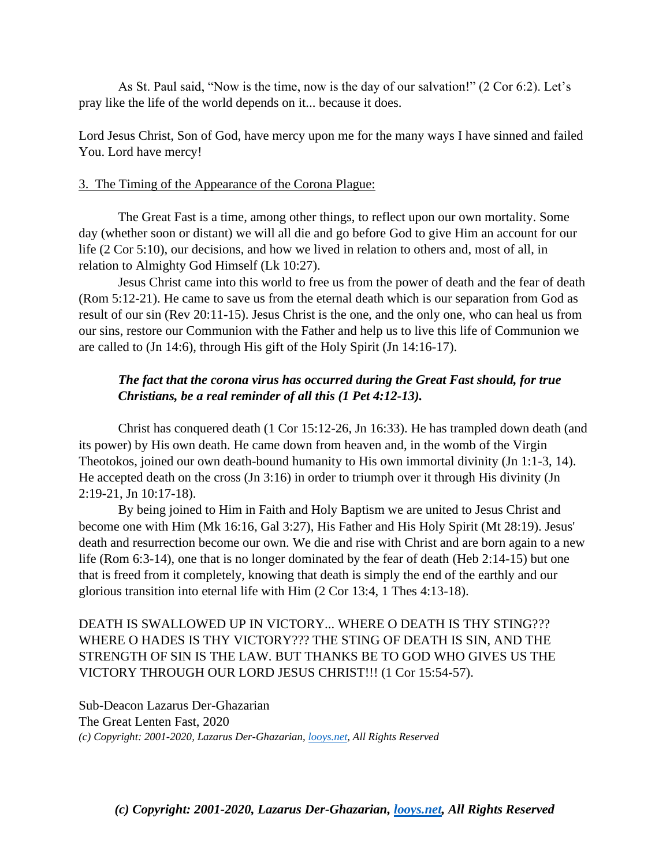As St. Paul said, "Now is the time, now is the day of our salvation!" (2 Cor 6:2). Let's pray like the life of the world depends on it... because it does.

Lord Jesus Christ, Son of God, have mercy upon me for the many ways I have sinned and failed You. Lord have mercy!

### 3. The Timing of the Appearance of the Corona Plague:

The Great Fast is a time, among other things, to reflect upon our own mortality. Some day (whether soon or distant) we will all die and go before God to give Him an account for our life (2 Cor 5:10), our decisions, and how we lived in relation to others and, most of all, in relation to Almighty God Himself (Lk 10:27).

Jesus Christ came into this world to free us from the power of death and the fear of death (Rom 5:12-21). He came to save us from the eternal death which is our separation from God as result of our sin (Rev 20:11-15). Jesus Christ is the one, and the only one, who can heal us from our sins, restore our Communion with the Father and help us to live this life of Communion we are called to (Jn 14:6), through His gift of the Holy Spirit (Jn 14:16-17).

# *The fact that the corona virus has occurred during the Great Fast should, for true Christians, be a real reminder of all this (1 Pet 4:12-13).*

Christ has conquered death (1 Cor 15:12-26, Jn 16:33). He has trampled down death (and its power) by His own death. He came down from heaven and, in the womb of the Virgin Theotokos, joined our own death-bound humanity to His own immortal divinity (Jn 1:1-3, 14). He accepted death on the cross (Jn 3:16) in order to triumph over it through His divinity (Jn 2:19-21, Jn 10:17-18).

By being joined to Him in Faith and Holy Baptism we are united to Jesus Christ and become one with Him (Mk 16:16, Gal 3:27), His Father and His Holy Spirit (Mt 28:19). Jesus' death and resurrection become our own. We die and rise with Christ and are born again to a new life (Rom 6:3-14), one that is no longer dominated by the fear of death (Heb 2:14-15) but one that is freed from it completely, knowing that death is simply the end of the earthly and our glorious transition into eternal life with Him (2 Cor 13:4, 1 Thes 4:13-18).

## DEATH IS SWALLOWED UP IN VICTORY... WHERE O DEATH IS THY STING??? WHERE O HADES IS THY VICTORY??? THE STING OF DEATH IS SIN, AND THE STRENGTH OF SIN IS THE LAW. BUT THANKS BE TO GOD WHO GIVES US THE VICTORY THROUGH OUR LORD JESUS CHRIST!!! (1 Cor 15:54-57).

Sub-Deacon Lazarus Der-Ghazarian The Great Lenten Fast, 2020 *(c) Copyright: 2001-2020, Lazarus Der-Ghazarian, [looys.net,](https://l.facebook.com/l.php?u=http%3A%2F%2Flooys.net%2F%3Ffbclid%3DIwAR10bGY46OPS8nxPAzRY_1BnG66L2daWjgM9pssEsAm6WZezrZwMoteykWQ&h=AT0vhY1ax1-2h9G8if_8LknrSFgX8htnbkcBi5E7mG23Nn8hOYu1fWkLrALvI_BmU8KEESDJM7x6D3PWNFZ01ADcZL7Jyfk7TqSxFoC_jIxqj90yPZb8p0JUfxCXxlJMDlgWJWpM9GFeEpkbfBcrDn0gbIqth-zUJg) All Rights Reserved*

*(c) Copyright: 2001-2020, Lazarus Der-Ghazarian, [looys.net,](https://l.facebook.com/l.php?u=http%3A%2F%2Flooys.net%2F%3Ffbclid%3DIwAR1LQWevcyWFIAScT0PqIsWC5E0QNr9zWoqGxRO5ga1UN6IRYcSTleuK4nw&h=AT00-gDYKlaw6nPvuiJxL8rLX3oWJ5tV-2T1TOqDRki_dgIl-8EyYjkN8Ik708pN_7Usi_gbtHzj4QorFqr687fWnYf6LMuUkmj1_WULaZNvCBBVD3UzLMZEvUsaXVxVB5R-mEde6qo-tGeaohPyg3ympIdC7QF_tA) All Rights Reserved*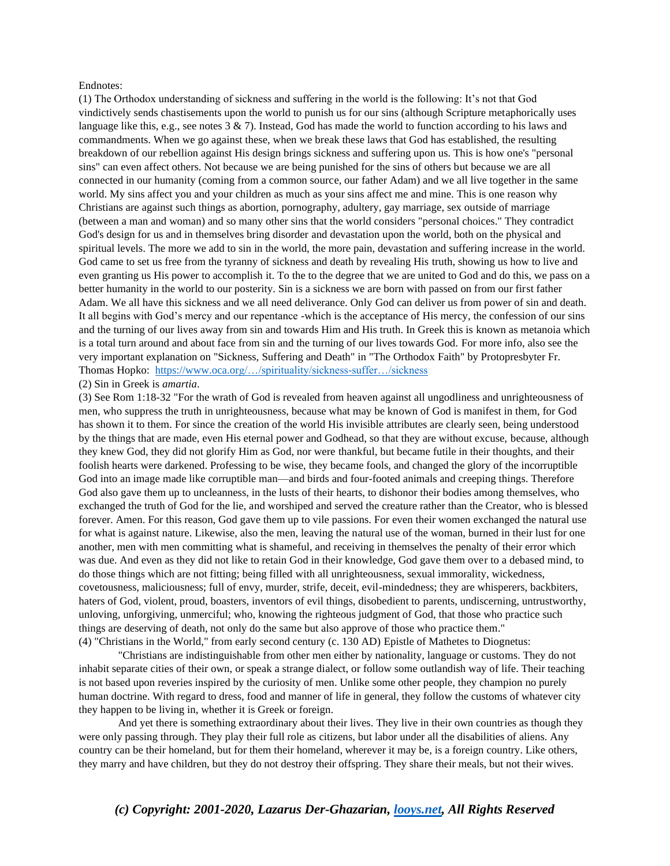#### Endnotes:

(1) The Orthodox understanding of sickness and suffering in the world is the following: It's not that God vindictively sends chastisements upon the world to punish us for our sins (although Scripture metaphorically uses language like this, e.g., see notes  $3 \& 7$ ). Instead, God has made the world to function according to his laws and commandments. When we go against these, when we break these laws that God has established, the resulting breakdown of our rebellion against His design brings sickness and suffering upon us. This is how one's "personal sins" can even affect others. Not because we are being punished for the sins of others but because we are all connected in our humanity (coming from a common source, our father Adam) and we all live together in the same world. My sins affect you and your children as much as your sins affect me and mine. This is one reason why Christians are against such things as abortion, pornography, adultery, gay marriage, sex outside of marriage (between a man and woman) and so many other sins that the world considers "personal choices." They contradict God's design for us and in themselves bring disorder and devastation upon the world, both on the physical and spiritual levels. The more we add to sin in the world, the more pain, devastation and suffering increase in the world. God came to set us free from the tyranny of sickness and death by revealing His truth, showing us how to live and even granting us His power to accomplish it. To the to the degree that we are united to God and do this, we pass on a better humanity in the world to our posterity. Sin is a sickness we are born with passed on from our first father Adam. We all have this sickness and we all need deliverance. Only God can deliver us from power of sin and death. It all begins with God's mercy and our repentance -which is the acceptance of His mercy, the confession of our sins and the turning of our lives away from sin and towards Him and His truth. In Greek this is known as metanoia which is a total turn around and about face from sin and the turning of our lives towards God. For more info, also see the very important explanation on "Sickness, Suffering and Death" in "The Orthodox Faith" by Protopresbyter Fr. Thomas Hopko: [https://www.oca.org/…/spirituality/sickness-suffer…/sickness](https://l.facebook.com/l.php?u=https%3A%2F%2Fwww.oca.org%2Forthodoxy%2Fthe-orthodox-faith%2Fspirituality%2Fsickness-suffering-and-death%2Fsickness%3Ffbclid%3DIwAR25kd9haKHjcM2ROHJM4pOR1KZuhRcnIJKV7Bsi1dbF49_dH1FVNWl-ZPU&h=AT39t2qG_KrZaNaASsUYcFfTE1dafizfss9Ua0lO5z1KBdHSv-7UL-7vARieaVdtLVkcZlDq1RiIYHBlanjaCnp_J52PvCB8lrXqDXnRsdr6UZxqTVaq6yi_uFqtHq_hU5DzV2smLt5W5GTYmxB5Qc3Ga5ntXD6dsw)

#### (2) Sin in Greek is *amartia*.

(3) See Rom 1:18-32 "For the wrath of God is revealed from heaven against all ungodliness and unrighteousness of men, who suppress the truth in unrighteousness, because what may be known of God is manifest in them, for God has shown it to them. For since the creation of the world His invisible attributes are clearly seen, being understood by the things that are made, even His eternal power and Godhead, so that they are without excuse, because, although they knew God, they did not glorify Him as God, nor were thankful, but became futile in their thoughts, and their foolish hearts were darkened. Professing to be wise, they became fools, and changed the glory of the incorruptible God into an image made like corruptible man—and birds and four-footed animals and creeping things. Therefore God also gave them up to uncleanness, in the lusts of their hearts, to dishonor their bodies among themselves, who exchanged the truth of God for the lie, and worshiped and served the creature rather than the Creator, who is blessed forever. Amen. For this reason, God gave them up to vile passions. For even their women exchanged the natural use for what is against nature. Likewise, also the men, leaving the natural use of the woman, burned in their lust for one another, men with men committing what is shameful, and receiving in themselves the penalty of their error which was due. And even as they did not like to retain God in their knowledge, God gave them over to a debased mind, to do those things which are not fitting; being filled with all unrighteousness, sexual immorality, wickedness, covetousness, maliciousness; full of envy, murder, strife, deceit, evil-mindedness; they are whisperers, backbiters, haters of God, violent, proud, boasters, inventors of evil things, disobedient to parents, undiscerning, untrustworthy, unloving, unforgiving, unmerciful; who, knowing the righteous judgment of God, that those who practice such things are deserving of death, not only do the same but also approve of those who practice them." (4) "Christians in the World," from early second century (c. 130 AD) Epistle of Mathetes to Diognetus:

"Christians are indistinguishable from other men either by nationality, language or customs. They do not inhabit separate cities of their own, or speak a strange dialect, or follow some outlandish way of life. Their teaching is not based upon reveries inspired by the curiosity of men. Unlike some other people, they champion no purely human doctrine. With regard to dress, food and manner of life in general, they follow the customs of whatever city they happen to be living in, whether it is Greek or foreign.

And yet there is something extraordinary about their lives. They live in their own countries as though they were only passing through. They play their full role as citizens, but labor under all the disabilities of aliens. Any country can be their homeland, but for them their homeland, wherever it may be, is a foreign country. Like others, they marry and have children, but they do not destroy their offspring. They share their meals, but not their wives.